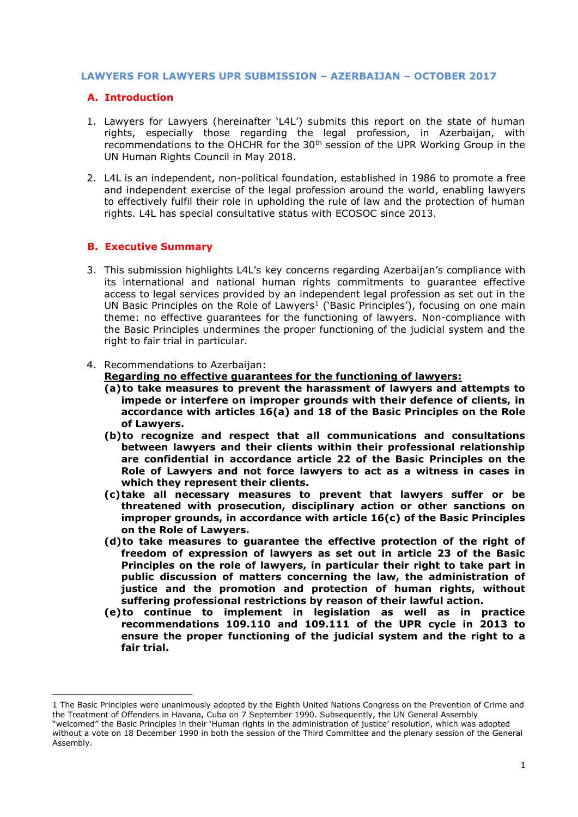### **LAWYERS FOR LAWYERS UPR SUBMISSION – AZERBAIJAN – OCTOBER 2017**

# **A. Introduction**

- 1. Lawyers for Lawyers (hereinafter 'L4L') submits this report on the state of human rights, especially those regarding the legal profession, in Azerbaijan, with recommendations to the OHCHR for the 30<sup>th</sup> session of the UPR Working Group in the UN Human Rights Council in May 2018.
- 2. L4L is an independent, non-political foundation, established in 1986 to promote a free and independent exercise of the legal profession around the world, enabling lawyers to effectively fulfil their role in upholding the rule of law and the protection of human rights. L4L has special consultative status with ECOSOC since 2013.

# **B. Executive Summary**

**.** 

- 3. This submission highlights L4L's key concerns regarding Azerbaijan's compliance with its international and national human rights commitments to guarantee effective access to legal services provided by an independent legal profession as set out in the UN Basic Principles on the Role of Lawyers<sup>1</sup> ('Basic Principles'), focusing on one main theme: no effective guarantees for the functioning of lawyers. Non-compliance with the Basic Principles undermines the proper functioning of the judicial system and the right to fair trial in particular.
- 4. Recommendations to Azerbaijan:

# **Regarding no effective guarantees for the functioning of lawyers:**

- **(a)to take measures to prevent the harassment of lawyers and attempts to impede or interfere on improper grounds with their defence of clients, in accordance with articles 16(a) and 18 of the Basic Principles on the Role of Lawyers.**
- **(b)to recognize and respect that all communications and consultations between lawyers and their clients within their professional relationship are confidential in accordance article 22 of the Basic Principles on the Role of Lawyers and not force lawyers to act as a witness in cases in which they represent their clients.**
- **(c)take all necessary measures to prevent that lawyers suffer or be threatened with prosecution, disciplinary action or other sanctions on improper grounds, in accordance with article 16(c) of the Basic Principles on the Role of Lawyers.**
- **(d)to take measures to guarantee the effective protection of the right of freedom of expression of lawyers as set out in article 23 of the Basic Principles on the role of lawyers, in particular their right to take part in public discussion of matters concerning the law, the administration of justice and the promotion and protection of human rights, without suffering professional restrictions by reason of their lawful action.**
- **(e)to continue to implement in legislation as well as in practice recommendations 109.110 and 109.111 of the UPR cycle in 2013 to ensure the proper functioning of the judicial system and the right to a fair trial.**

<sup>1</sup> The Basic Principles were unanimously adopted by the Eighth United Nations Congress on the Prevention of Crime and the Treatment of Offenders in Havana, Cuba on 7 September 1990. Subsequently, the UN General Assembly

<sup>&</sup>quot;welcomed" the Basic Principles in their 'Human rights in the administration of justice' resolution, which was adopted without a vote on 18 December 1990 in both the session of the Third Committee and the plenary session of the General Assembly.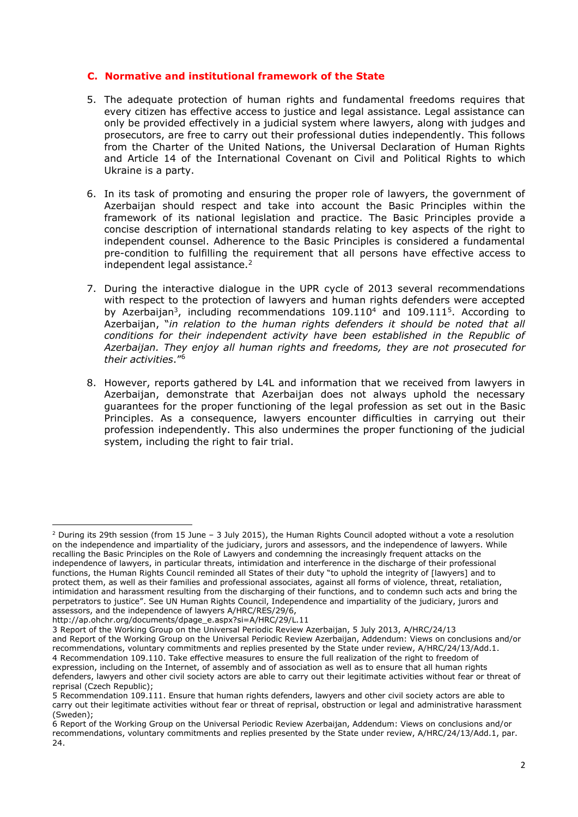### **C. Normative and institutional framework of the State**

- 5. The adequate protection of human rights and fundamental freedoms requires that every citizen has effective access to justice and legal assistance. Legal assistance can only be provided effectively in a judicial system where lawyers, along with judges and prosecutors, are free to carry out their professional duties independently. This follows from the Charter of the United Nations, the Universal Declaration of Human Rights and Article 14 of the International Covenant on Civil and Political Rights to which Ukraine is a party.
- 6. In its task of promoting and ensuring the proper role of lawyers, the government of Azerbaijan should respect and take into account the Basic Principles within the framework of its national legislation and practice. The Basic Principles provide a concise description of international standards relating to key aspects of the right to independent counsel. Adherence to the Basic Principles is considered a fundamental pre-condition to fulfilling the requirement that all persons have effective access to independent legal assistance.<sup>2</sup>
- 7. During the interactive dialogue in the UPR cycle of 2013 several recommendations with respect to the protection of lawyers and human rights defenders were accepted by Azerbaijan<sup>3</sup>, including recommendations  $109.110<sup>4</sup>$  and  $109.111<sup>5</sup>$ . According to Azerbaijan, "*in relation to the human rights defenders it should be noted that all conditions for their independent activity have been established in the Republic of Azerbaijan. They enjoy all human rights and freedoms, they are not prosecuted for their activities*." 6
- 8. However, reports gathered by L4L and information that we received from lawyers in Azerbaijan, demonstrate that Azerbaijan does not always uphold the necessary guarantees for the proper functioning of the legal profession as set out in the Basic Principles. As a consequence, lawyers encounter difficulties in carrying out their profession independently. This also undermines the proper functioning of the judicial system, including the right to fair trial.

[http://ap.ohchr.org/documents/dpage\\_e.aspx?si=A/HRC/29/L.11](http://ap.ohchr.org/documents/dpage_e.aspx?si=A/HRC/29/L.11)

**.** 

<sup>2</sup> During its 29th session (from 15 June – 3 July 2015), the Human Rights Council adopted without a vote a resolution on the independence and impartiality of the judiciary, jurors and assessors, and the independence of lawyers. While recalling the Basic Principles on the Role of Lawyers and condemning the increasingly frequent attacks on the independence of lawyers, in particular threats, intimidation and interference in the discharge of their professional functions, the Human Rights Council reminded all States of their duty "to uphold the integrity of [lawyers] and to protect them, as well as their families and professional associates, against all forms of violence, threat, retaliation, intimidation and harassment resulting from the discharging of their functions, and to condemn such acts and bring the perpetrators to justice". See UN Human Rights Council, Independence and impartiality of the judiciary, jurors and assessors, and the independence of lawyers A/HRC/RES/29/6,

<sup>3</sup> Report of the Working Group on the Universal Periodic Review Azerbaijan, 5 July 2013, A/HRC/24/13

and Report of the Working Group on the Universal Periodic Review Azerbaijan, Addendum: Views on conclusions and/or recommendations, voluntary commitments and replies presented by the State under review, A/HRC/24/13/Add.1. 4 Recommendation 109.110. Take effective measures to ensure the full realization of the right to freedom of expression, including on the Internet, of assembly and of association as well as to ensure that all human rights defenders, lawyers and other civil society actors are able to carry out their legitimate activities without fear or threat of reprisal (Czech Republic);

<sup>5</sup> Recommendation 109.111. Ensure that human rights defenders, lawyers and other civil society actors are able to carry out their legitimate activities without fear or threat of reprisal, obstruction or legal and administrative harassment (Sweden);

<sup>6</sup> Report of the Working Group on the Universal Periodic Review Azerbaijan, Addendum: Views on conclusions and/or recommendations, voluntary commitments and replies presented by the State under review, A/HRC/24/13/Add.1, par. 24.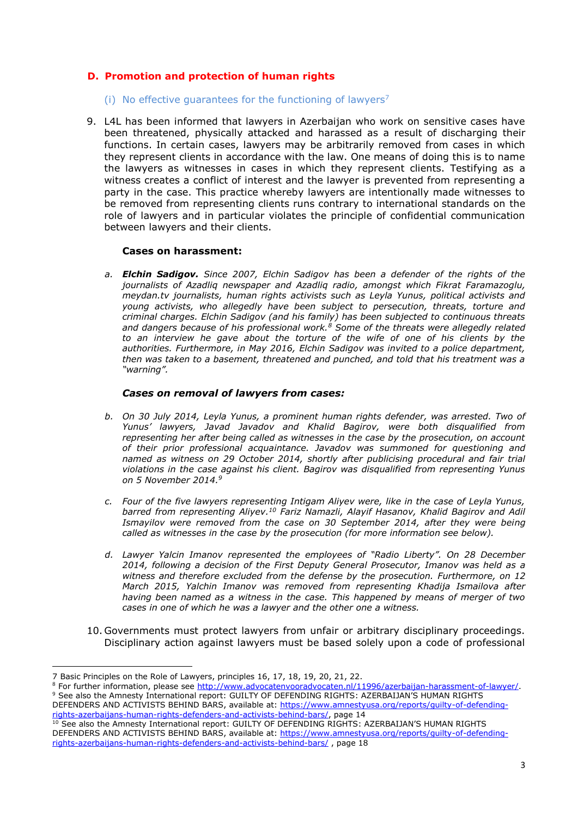# **D. Promotion and protection of human rights**

- (i) No effective guarantees for the functioning of lawyers<sup>7</sup>
- 9. L4L has been informed that lawyers in Azerbaijan who work on sensitive cases have been threatened, physically attacked and harassed as a result of discharging their functions. In certain cases, lawyers may be arbitrarily removed from cases in which they represent clients in accordance with the law. One means of doing this is to name the lawyers as witnesses in cases in which they represent clients. Testifying as a witness creates a conflict of interest and the lawyer is prevented from representing a party in the case. This practice whereby lawyers are intentionally made witnesses to be removed from representing clients runs contrary to international standards on the role of lawyers and in particular violates the principle of confidential communication between lawyers and their clients.

### **Cases on harassment:**

*a. Elchin Sadigov. Since 2007, Elchin Sadigov has been a defender of the rights of the journalists of Azadliq newspaper and Azadliq radio, amongst which Fikrat Faramazoglu, meydan.tv journalists, human rights activists such as Leyla Yunus, political activists and young activists, who allegedly have been subject to persecution, threats, torture and criminal charges. Elchin Sadigov (and his family) has been subjected to continuous threats and dangers because of his professional work.<sup>8</sup> Some of the threats were allegedly related to an interview he gave about the torture of the wife of one of his clients by the authorities. Furthermore, in May 2016, Elchin Sadigov was invited to a police department, then was taken to a basement, threatened and punched, and told that his treatment was a "warning".*

#### *Cases on removal of lawyers from cases:*

- *b. On 30 July 2014, Leyla Yunus, a prominent human rights defender, was arrested. Two of Yunus' lawyers, Javad Javadov and Khalid Bagirov, were both disqualified from representing her after being called as witnesses in the case by the prosecution, on account of their prior professional acquaintance. Javadov was summoned for questioning and named as witness on 29 October 2014, shortly after publicising procedural and fair trial violations in the case against his client. Bagirov was disqualified from representing Yunus on 5 November 2014. 9*
- *c. Four of the five lawyers representing Intigam Aliyev were, like in the case of Leyla Yunus, barred from representing Aliyev. <sup>10</sup> Fariz Namazli, Alayif Hasanov, Khalid Bagirov and Adil Ismayilov were removed from the case on 30 September 2014, after they were being called as witnesses in the case by the prosecution (for more information see below).*
- *d. Lawyer Yalcin Imanov represented the employees of "Radio Liberty". On 28 December 2014, following a decision of the First Deputy General Prosecutor, Imanov was held as a witness and therefore excluded from the defense by the prosecution. Furthermore, on 12 March 2015, Yalchin Imanov was removed from representing Khadija Ismailova after having been named as a witness in the case. This happened by means of merger of two cases in one of which he was a lawyer and the other one a witness.*
- 10. Governments must protect lawyers from unfair or arbitrary disciplinary proceedings. Disciplinary action against lawyers must be based solely upon a code of professional

DEFENDERS AND ACTIVISTS BEHIND BARS, available at: [https://www.amnestyusa.org/reports/guilty-of-defending](https://www.amnestyusa.org/reports/guilty-of-defending-rights-azerbaijans-human-rights-defenders-and-activists-behind-bars/)[rights-azerbaijans-human-rights-defenders-and-activists-behind-bars/,](https://www.amnestyusa.org/reports/guilty-of-defending-rights-azerbaijans-human-rights-defenders-and-activists-behind-bars/) page 14

<sup>1</sup> 7 Basic Principles on the Role of Lawyers, principles 16, 17, 18, 19, 20, 21, 22.

<sup>8</sup> For further information, please see [http://www.advocatenvooradvocaten.nl/11996/azerbaijan-harassment-of-lawyer/.](http://www.advocatenvooradvocaten.nl/11996/azerbaijan-harassment-of-lawyer/) <sup>9</sup> See also the Amnesty International report: GUILTY OF DEFENDING RIGHTS: AZERBAIJAN'S HUMAN RIGHTS

<sup>&</sup>lt;sup>10</sup> See also the Amnesty International report: GUILTY OF DEFENDING RIGHTS: AZERBAIJAN'S HUMAN RIGHTS DEFENDERS AND ACTIVISTS BEHIND BARS, available at: [https://www.amnestyusa.org/reports/guilty-of-defending](https://www.amnestyusa.org/reports/guilty-of-defending-rights-azerbaijans-human-rights-defenders-and-activists-behind-bars/)[rights-azerbaijans-human-rights-defenders-and-activists-behind-bars/](https://www.amnestyusa.org/reports/guilty-of-defending-rights-azerbaijans-human-rights-defenders-and-activists-behind-bars/) , page 18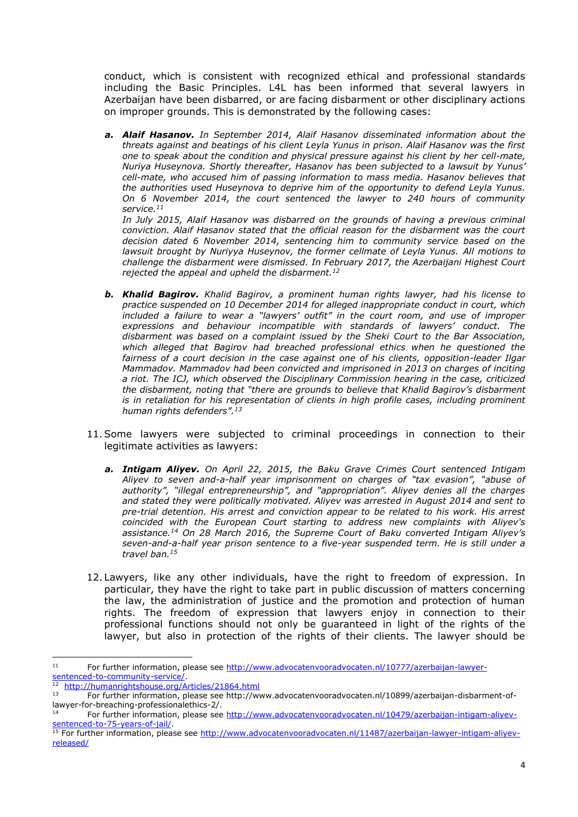conduct, which is consistent with recognized ethical and professional standards including the Basic Principles. L4L has been informed that several lawyers in Azerbaijan have been disbarred, or are facing disbarment or other disciplinary actions on improper grounds. This is demonstrated by the following cases:

*a. Alaif Hasanov. In September 2014, Alaif Hasanov disseminated information about the threats against and beatings of his client Leyla Yunus in prison. Alaif Hasanov was the first one to speak about the condition and physical pressure against his client by her cell-mate, Nuriya Huseynova. Shortly thereafter, Hasanov has been subjected to a lawsuit by Yunus' cell-mate, who accused him of passing information to mass media. Hasanov believes that the authorities used Huseynova to deprive him of the opportunity to defend Leyla Yunus. On 6 November 2014, the court sentenced the lawyer to 240 hours of community service.<sup>11</sup>*

*In July 2015, Alaif Hasanov was disbarred on the grounds of having a previous criminal conviction. Alaif Hasanov stated that the official reason for the disbarment was the court decision dated 6 November 2014, sentencing him to community service based on the lawsuit brought by Nuriyya Huseynov, the former cellmate of Leyla Yunus. All motions to challenge the disbarment were dismissed. In February 2017, the Azerbaijani Highest Court rejected the appeal and upheld the disbarment.<sup>12</sup>*

- *b. Khalid Bagirov. Khalid Bagirov, a prominent human rights lawyer, had his license to practice suspended on 10 December 2014 for alleged inappropriate conduct in court, which included a failure to wear a "lawyers' outfit" in the court room, and use of improper expressions and behaviour incompatible with standards of lawyers' conduct. The disbarment was based on a complaint issued by the Sheki Court to the Bar Association, which alleged that Bagirov had breached professional ethics when he questioned the fairness of a court decision in the case against one of his clients, opposition-leader Ilgar Mammadov. Mammadov had been convicted and imprisoned in 2013 on charges of inciting a riot. The ICJ, which observed the Disciplinary Commission hearing in the case, criticized the disbarment, noting that "there are grounds to believe that Khalid Bagirov's disbarment is in retaliation for his representation of clients in high profile cases, including prominent human rights defenders".<sup>13</sup>*
- 11.Some lawyers were subjected to criminal proceedings in connection to their legitimate activities as lawyers:
	- *a. Intigam Aliyev. On April 22, 2015, the Baku Grave Crimes Court sentenced Intigam Aliyev to seven and-a-half year imprisonment on charges of "tax evasion", "abuse of authority", "illegal entrepreneurship", and "appropriation". Aliyev denies all the charges and stated they were politically motivated. Aliyev was arrested in August 2014 and sent to pre-trial detention. His arrest and conviction appear to be related to his work. His arrest coincided with the European Court starting to address new complaints with Aliyev's assistance.<sup>14</sup> On 28 March 2016, the Supreme Court of Baku converted Intigam Aliyev's seven-and-a-half year prison sentence to a five-year suspended term. He is still under a travel ban.<sup>15</sup>*
- 12. Lawyers, like any other individuals, have the right to freedom of expression. In particular, they have the right to take part in public discussion of matters concerning the law, the administration of justice and the promotion and protection of human rights. The freedom of expression that lawyers enjoy in connection to their professional functions should not only be guaranteed in light of the rights of the lawyer, but also in protection of the rights of their clients. The lawyer should be

 $11$ For further information, please see [http://www.advocatenvooradvocaten.nl/10777/azerbaijan-lawyer](http://www.advocatenvooradvocaten.nl/10777/azerbaijan-lawyer-sentenced-to-community-service/)[sentenced-to-community-service/.](http://www.advocatenvooradvocaten.nl/10777/azerbaijan-lawyer-sentenced-to-community-service/)

<sup>&</sup>lt;sup>12</sup> <http://humanrightshouse.org/Articles/21864.html>

<sup>13</sup> For further information, please see http://www.advocatenvooradvocaten.nl/10899/azerbaijan-disbarment-oflawyer-for-breaching-professionalethics-2/.

For further information, please see [http://www.advocatenvooradvocaten.nl/10479/azerbaijan-intigam-aliyev](http://www.advocatenvooradvocaten.nl/10479/azerbaijan-intigam-aliyev-sentenced-to-75-years-of-jail/)[sentenced-to-75-years-of-jail/.](http://www.advocatenvooradvocaten.nl/10479/azerbaijan-intigam-aliyev-sentenced-to-75-years-of-jail/)

<sup>&</sup>lt;sup>15</sup> For further information, please see [http://www.advocatenvooradvocaten.nl/11487/azerbaijan-lawyer-intigam-aliyev](http://www.advocatenvooradvocaten.nl/11487/azerbaijan-lawyer-intigam-aliyev-released/)[released/](http://www.advocatenvooradvocaten.nl/11487/azerbaijan-lawyer-intigam-aliyev-released/)